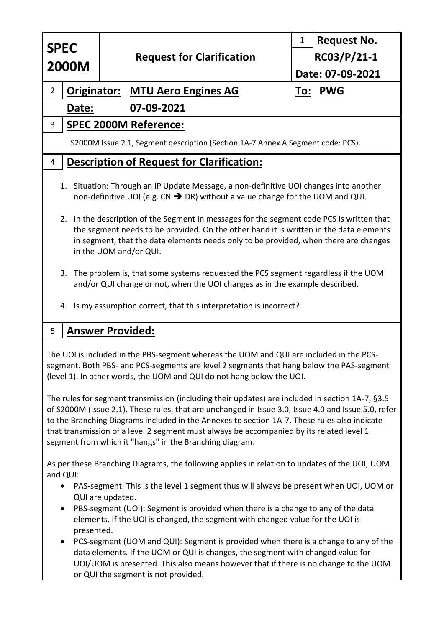| <b>SPEC</b><br><b>2000M</b>                                                                                                                                                                                                                                                                                                                                                                                                                                                                                                                                                                                                                                                                                                                      |                              | <b>Request for Clarification</b> | <b>Request No.</b><br>1 |  |
|--------------------------------------------------------------------------------------------------------------------------------------------------------------------------------------------------------------------------------------------------------------------------------------------------------------------------------------------------------------------------------------------------------------------------------------------------------------------------------------------------------------------------------------------------------------------------------------------------------------------------------------------------------------------------------------------------------------------------------------------------|------------------------------|----------------------------------|-------------------------|--|
|                                                                                                                                                                                                                                                                                                                                                                                                                                                                                                                                                                                                                                                                                                                                                  |                              |                                  | $RC03/P/21-1$           |  |
|                                                                                                                                                                                                                                                                                                                                                                                                                                                                                                                                                                                                                                                                                                                                                  |                              |                                  | Date: 07-09-2021        |  |
| $\overline{2}$<br><b>Originator: MTU Aero Engines AG</b>                                                                                                                                                                                                                                                                                                                                                                                                                                                                                                                                                                                                                                                                                         |                              |                                  | To: PWG                 |  |
| 07-09-2021<br>Date:                                                                                                                                                                                                                                                                                                                                                                                                                                                                                                                                                                                                                                                                                                                              |                              |                                  |                         |  |
| 3                                                                                                                                                                                                                                                                                                                                                                                                                                                                                                                                                                                                                                                                                                                                                | <b>SPEC 2000M Reference:</b> |                                  |                         |  |
| S2000M Issue 2.1, Segment description (Section 1A-7 Annex A Segment code: PCS).                                                                                                                                                                                                                                                                                                                                                                                                                                                                                                                                                                                                                                                                  |                              |                                  |                         |  |
| <b>Description of Request for Clarification:</b><br>4                                                                                                                                                                                                                                                                                                                                                                                                                                                                                                                                                                                                                                                                                            |                              |                                  |                         |  |
| 1. Situation: Through an IP Update Message, a non-definitive UOI changes into another<br>non-definitive UOI (e.g. $CN \rightarrow DR$ ) without a value change for the UOM and QUI.<br>2. In the description of the Segment in messages for the segment code PCS is written that<br>the segment needs to be provided. On the other hand it is written in the data elements<br>in segment, that the data elements needs only to be provided, when there are changes<br>in the UOM and/or QUI.<br>The problem is, that some systems requested the PCS segment regardless if the UOM<br>3.<br>and/or QUI change or not, when the UOI changes as in the example described.<br>Is my assumption correct, that this interpretation is incorrect?<br>4. |                              |                                  |                         |  |
| 5<br><u>Answer Provided:</u>                                                                                                                                                                                                                                                                                                                                                                                                                                                                                                                                                                                                                                                                                                                     |                              |                                  |                         |  |
| The UOI is included in the PBS-segment whereas the UOM and QUI are included in the PCS-<br>segment. Both PBS- and PCS-segments are level 2 segments that hang below the PAS-segment<br>(level 1). In other words, the UOM and QUI do not hang below the UOI.                                                                                                                                                                                                                                                                                                                                                                                                                                                                                     |                              |                                  |                         |  |
| The rules for segment transmission (including their updates) are included in section 1A-7, §3.5<br>of S2000M (Issue 2.1). These rules, that are unchanged in Issue 3.0, Issue 4.0 and Issue 5.0, refer<br>to the Branching Diagrams included in the Annexes to section 1A-7. These rules also indicate<br>that transmission of a level 2 segment must always be accompanied by its related level 1<br>segment from which it "hangs" in the Branching diagram.                                                                                                                                                                                                                                                                                    |                              |                                  |                         |  |
| As per these Branching Diagrams, the following applies in relation to updates of the UOI, UOM<br>and QUI:                                                                                                                                                                                                                                                                                                                                                                                                                                                                                                                                                                                                                                        |                              |                                  |                         |  |

- PAS-segment: This is the level 1 segment thus will always be present when UOI, UOM or QUI are updated.
- PBS-segment (UOI): Segment is provided when there is a change to any of the data elements. If the UOI is changed, the segment with changed value for the UOI is presented.
- PCS-segment (UOM and QUI): Segment is provided when there is a change to any of the data elements. If the UOM or QUI is changes, the segment with changed value for UOI/UOM is presented. This also means however that if there is no change to the UOM or QUI the segment is not provided.